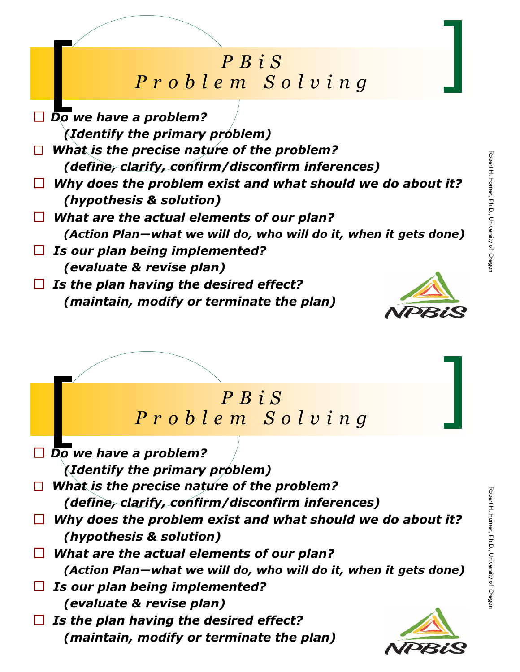## *P B i S P r o b l e m S o l v i n g*

- *Do we have a problem? (Identify the primary problem) What is the precise nature of the problem? (define, clarify, confirm/disconfirm inferences) Why does the problem exist and what should we do about it? (hypothesis & solution) What are the actual elements of our plan? (Action Plan—what we will do, who will do it, when it gets done) Is our plan being implemented? (evaluate & revise plan)*
- *Is the plan having the desired effect? (maintain, modify or terminate the plan)*